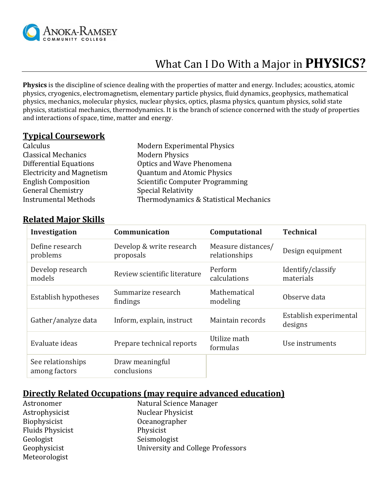

# What Can I Do With a Major in **PHYSICS?**

**Physics** is the discipline of science dealing with the properties of matter and energy. Includes; acoustics, atomic physics, cryogenics, electromagnetism, elementary particle physics, fluid dynamics, geophysics, mathematical physics, mechanics, molecular physics, nuclear physics, optics, plasma physics, quantum physics, solid state physics, statistical mechanics, thermodynamics. It is the branch o[f science](http://open-dictionary.com/Science) concerned with the study of properties and interactions o[f space,](http://open-dictionary.com/Space) [time,](http://open-dictionary.com/Time) [matter](http://open-dictionary.com/Matter) and [energy](http://open-dictionary.com/Energy).

#### **Typical Coursework**

| <b>Modern Experimental Physics</b>     |
|----------------------------------------|
| <b>Modern Physics</b>                  |
| Optics and Wave Phenomena              |
| <b>Quantum and Atomic Physics</b>      |
| <b>Scientific Computer Programming</b> |
| <b>Special Relativity</b>              |
| Thermodynamics & Statistical Mechanics |
|                                        |

#### **Related Major Skills**

| Investigation                      | Communication                         | Computational                       | <b>Technical</b>                  |
|------------------------------------|---------------------------------------|-------------------------------------|-----------------------------------|
| Define research<br>problems        | Develop & write research<br>proposals | Measure distances/<br>relationships | Design equipment                  |
| Develop research<br>models         | Review scientific literature          | Perform<br>calculations             | Identify/classify<br>materials    |
| Establish hypotheses               | Summarize research<br>findings        | Mathematical<br>modeling            | Observe data                      |
| Gather/analyze data                | Inform, explain, instruct             | Maintain records                    | Establish experimental<br>designs |
| Evaluate ideas                     | Prepare technical reports             | Utilize math<br>formulas            | Use instruments                   |
| See relationships<br>among factors | Draw meaningful<br>conclusions        |                                     |                                   |

#### **Directly Related Occupations (may require advanced education)**

| Astronomer              | Natural Science Manager           |
|-------------------------|-----------------------------------|
| Astrophysicist          | <b>Nuclear Physicist</b>          |
| Biophysicist            | Oceanographer                     |
| <b>Fluids Physicist</b> | Physicist                         |
| Geologist               | Seismologist                      |
| Geophysicist            | University and College Professors |
| Meteorologist           |                                   |